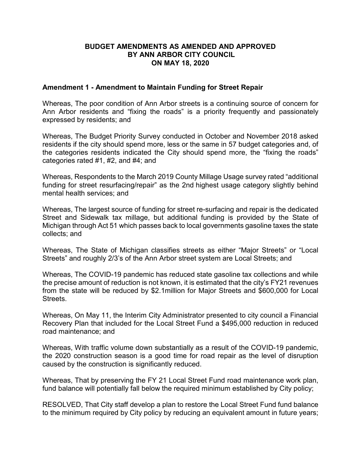### **BUDGET AMENDMENTS AS AMENDED AND APPROVED BY ANN ARBOR CITY COUNCIL ON MAY 18, 2020**

### **Amendment 1 - Amendment to Maintain Funding for Street Repair**

Whereas, The poor condition of Ann Arbor streets is a continuing source of concern for Ann Arbor residents and "fixing the roads" is a priority frequently and passionately expressed by residents; and

Whereas, The Budget Priority Survey conducted in October and November 2018 asked residents if the city should spend more, less or the same in 57 budget categories and, of the categories residents indicated the City should spend more, the "fixing the roads" categories rated #1, #2, and #4; and

Whereas, Respondents to the March 2019 County Millage Usage survey rated "additional funding for street resurfacing/repair" as the 2nd highest usage category slightly behind mental health services; and

Whereas, The largest source of funding for street re-surfacing and repair is the dedicated Street and Sidewalk tax millage, but additional funding is provided by the State of Michigan through Act 51 which passes back to local governments gasoline taxes the state collects; and

Whereas, The State of Michigan classifies streets as either "Major Streets" or "Local Streets" and roughly 2/3's of the Ann Arbor street system are Local Streets; and

Whereas, The COVID-19 pandemic has reduced state gasoline tax collections and while the precise amount of reduction is not known, it is estimated that the city's FY21 revenues from the state will be reduced by \$2.1million for Major Streets and \$600,000 for Local **Streets** 

Whereas, On May 11, the Interim City Administrator presented to city council a Financial Recovery Plan that included for the Local Street Fund a \$495,000 reduction in reduced road maintenance; and

Whereas, With traffic volume down substantially as a result of the COVID-19 pandemic, the 2020 construction season is a good time for road repair as the level of disruption caused by the construction is significantly reduced.

Whereas, That by preserving the FY 21 Local Street Fund road maintenance work plan, fund balance will potentially fall below the required minimum established by City policy;

RESOLVED, That City staff develop a plan to restore the Local Street Fund fund balance to the minimum required by City policy by reducing an equivalent amount in future years;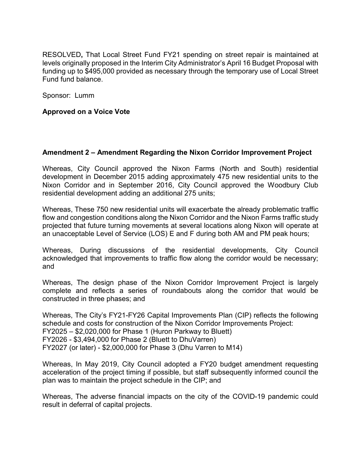RESOLVED**,** That Local Street Fund FY21 spending on street repair is maintained at levels originally proposed in the Interim City Administrator's April 16 Budget Proposal with funding up to \$495,000 provided as necessary through the temporary use of Local Street Fund fund balance.

Sponsor: Lumm

## **Approved on a Voice Vote**

## **Amendment 2 – Amendment Regarding the Nixon Corridor Improvement Project**

Whereas, City Council approved the Nixon Farms (North and South) residential development in December 2015 adding approximately 475 new residential units to the Nixon Corridor and in September 2016, City Council approved the Woodbury Club residential development adding an additional 275 units;

Whereas, These 750 new residential units will exacerbate the already problematic traffic flow and congestion conditions along the Nixon Corridor and the Nixon Farms traffic study projected that future turning movements at several locations along Nixon will operate at an unacceptable Level of Service (LOS) E and F during both AM and PM peak hours;

Whereas, During discussions of the residential developments, City Council acknowledged that improvements to traffic flow along the corridor would be necessary; and

Whereas, The design phase of the Nixon Corridor Improvement Project is largely complete and reflects a series of roundabouts along the corridor that would be constructed in three phases; and

Whereas, The City's FY21-FY26 Capital Improvements Plan (CIP) reflects the following schedule and costs for construction of the Nixon Corridor Improvements Project: FY2025 – \$2,020,000 for Phase 1 (Huron Parkway to Bluett) FY2026 - \$3,494,000 for Phase 2 (Bluett to DhuVarren) FY2027 (or later) - \$2,000,000 for Phase 3 (Dhu Varren to M14)

Whereas, In May 2019, City Council adopted a FY20 budget amendment requesting acceleration of the project timing if possible, but staff subsequently informed council the plan was to maintain the project schedule in the CIP; and

Whereas, The adverse financial impacts on the city of the COVID-19 pandemic could result in deferral of capital projects.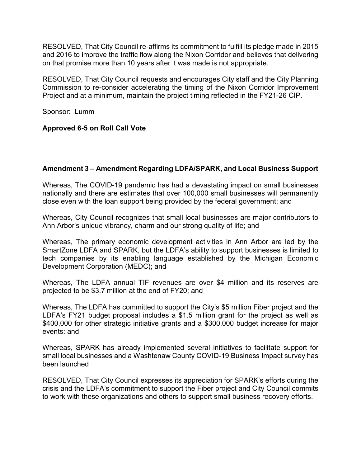RESOLVED, That City Council re-affirms its commitment to fulfill its pledge made in 2015 and 2016 to improve the traffic flow along the Nixon Corridor and believes that delivering on that promise more than 10 years after it was made is not appropriate.

RESOLVED, That City Council requests and encourages City staff and the City Planning Commission to re-consider accelerating the timing of the Nixon Corridor Improvement Project and at a minimum, maintain the project timing reflected in the FY21-26 CIP.

Sponsor: Lumm

## **Approved 6-5 on Roll Call Vote**

# **Amendment 3 – Amendment Regarding LDFA/SPARK, and Local Business Support**

Whereas, The COVID-19 pandemic has had a devastating impact on small businesses nationally and there are estimates that over 100,000 small businesses will permanently close even with the loan support being provided by the federal government; and

Whereas, City Council recognizes that small local businesses are major contributors to Ann Arbor's unique vibrancy, charm and our strong quality of life; and

Whereas, The primary economic development activities in Ann Arbor are led by the SmartZone LDFA and SPARK, but the LDFA's ability to support businesses is limited to tech companies by its enabling language established by the Michigan Economic Development Corporation (MEDC); and

Whereas, The LDFA annual TIF revenues are over \$4 million and its reserves are projected to be \$3.7 million at the end of FY20; and

Whereas, The LDFA has committed to support the City's \$5 million Fiber project and the LDFA's FY21 budget proposal includes a \$1.5 million grant for the project as well as \$400,000 for other strategic initiative grants and a \$300,000 budget increase for major events: and

Whereas, SPARK has already implemented several initiatives to facilitate support for small local businesses and a Washtenaw County COVID-19 Business Impact survey has been launched

RESOLVED, That City Council expresses its appreciation for SPARK's efforts during the crisis and the LDFA's commitment to support the Fiber project and City Council commits to work with these organizations and others to support small business recovery efforts.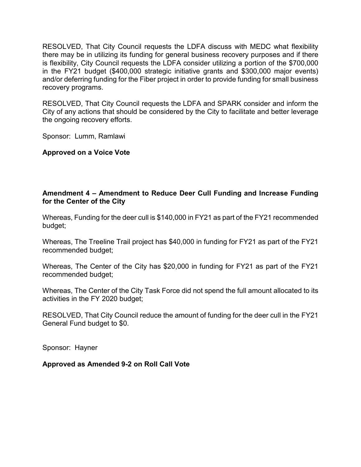RESOLVED, That City Council requests the LDFA discuss with MEDC what flexibility there may be in utilizing its funding for general business recovery purposes and if there is flexibility, City Council requests the LDFA consider utilizing a portion of the \$700,000 in the FY21 budget (\$400,000 strategic initiative grants and \$300,000 major events) and/or deferring funding for the Fiber project in order to provide funding for small business recovery programs.

RESOLVED, That City Council requests the LDFA and SPARK consider and inform the City of any actions that should be considered by the City to facilitate and better leverage the ongoing recovery efforts.

Sponsor: Lumm, Ramlawi

**Approved on a Voice Vote**

# **Amendment 4 – Amendment to Reduce Deer Cull Funding and Increase Funding for the Center of the City**

Whereas, Funding for the deer cull is \$140,000 in FY21 as part of the FY21 recommended budget;

Whereas, The Treeline Trail project has \$40,000 in funding for FY21 as part of the FY21 recommended budget;

Whereas, The Center of the City has \$20,000 in funding for FY21 as part of the FY21 recommended budget;

Whereas, The Center of the City Task Force did not spend the full amount allocated to its activities in the FY 2020 budget;

RESOLVED, That City Council reduce the amount of funding for the deer cull in the FY21 General Fund budget to \$0.

Sponsor: Hayner

**Approved as Amended 9-2 on Roll Call Vote**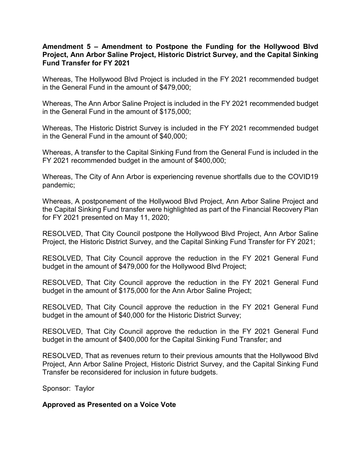## **Amendment 5 – Amendment to Postpone the Funding for the Hollywood Blvd Project, Ann Arbor Saline Project, Historic District Survey, and the Capital Sinking Fund Transfer for FY 2021**

Whereas, The Hollywood Blvd Project is included in the FY 2021 recommended budget in the General Fund in the amount of \$479,000;

Whereas, The Ann Arbor Saline Project is included in the FY 2021 recommended budget in the General Fund in the amount of \$175,000;

Whereas, The Historic District Survey is included in the FY 2021 recommended budget in the General Fund in the amount of \$40,000;

Whereas, A transfer to the Capital Sinking Fund from the General Fund is included in the FY 2021 recommended budget in the amount of \$400,000;

Whereas, The City of Ann Arbor is experiencing revenue shortfalls due to the COVID19 pandemic;

Whereas, A postponement of the Hollywood Blvd Project, Ann Arbor Saline Project and the Capital Sinking Fund transfer were highlighted as part of the Financial Recovery Plan for FY 2021 presented on May 11, 2020;

RESOLVED, That City Council postpone the Hollywood Blvd Project, Ann Arbor Saline Project, the Historic District Survey, and the Capital Sinking Fund Transfer for FY 2021;

RESOLVED, That City Council approve the reduction in the FY 2021 General Fund budget in the amount of \$479,000 for the Hollywood Blvd Project;

RESOLVED, That City Council approve the reduction in the FY 2021 General Fund budget in the amount of \$175,000 for the Ann Arbor Saline Project;

RESOLVED, That City Council approve the reduction in the FY 2021 General Fund budget in the amount of \$40,000 for the Historic District Survey;

RESOLVED, That City Council approve the reduction in the FY 2021 General Fund budget in the amount of \$400,000 for the Capital Sinking Fund Transfer; and

RESOLVED, That as revenues return to their previous amounts that the Hollywood Blvd Project, Ann Arbor Saline Project, Historic District Survey, and the Capital Sinking Fund Transfer be reconsidered for inclusion in future budgets.

Sponsor: Taylor

**Approved as Presented on a Voice Vote**